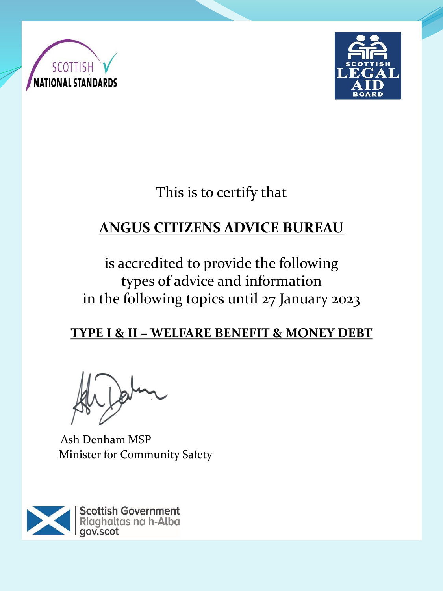



# This is to certify that

# **ANGUS CITIZENS ADVICE BUREAU**

# is accredited to provide the following types of advice and information in the following topics until 27 January 2023

### **TYPE I & II – WELFARE BENEFIT & MONEY DEBT**

Ash Denham MSP Minister for Community Safety

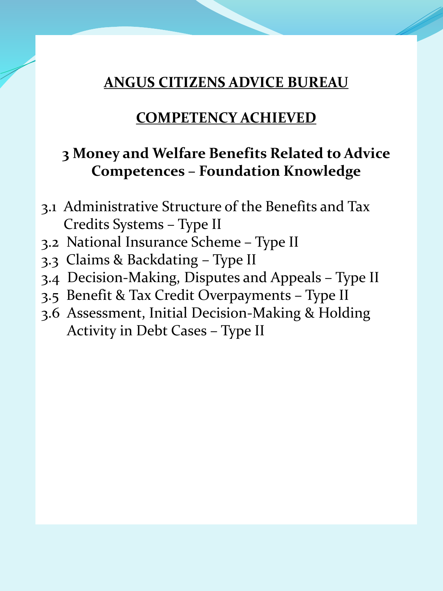#### **ANGUS CITIZENS ADVICE BUREAU**

#### **COMPETENCY ACHIEVED**

### **3 Money and Welfare Benefits Related to Advice Competences – Foundation Knowledge**

- 3.1 Administrative Structure of the Benefits and Tax Credits Systems – Type II
- 3.2 National Insurance Scheme Type II
- 3.3 Claims & Backdating Type II
- 3.4 Decision-Making, Disputes and Appeals Type II
- 3.5 Benefit & Tax Credit Overpayments Type II
- 3.6 Assessment, Initial Decision-Making & Holding Activity in Debt Cases – Type II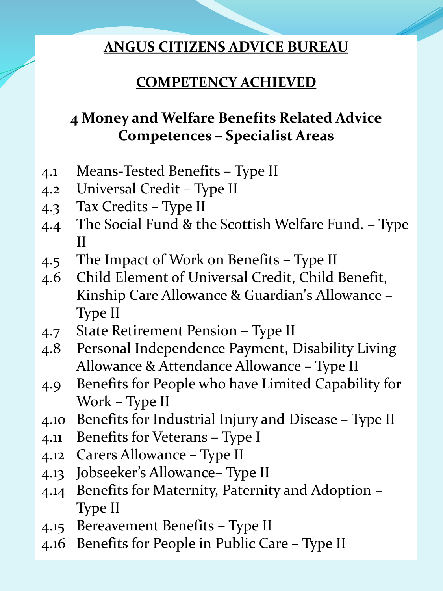#### **ANGUS CITIZENS ADVICE BUREAU**

# **COMPETENCY ACHIEVED**

# **4 Money and Welfare Benefits Related Advice Competences – Specialist Areas**

- 4.1 Means-Tested Benefits Type II
- 4.2 Universal Credit Type II
- 4.3 Tax Credits Type II
- 4.4 The Social Fund & the Scottish Welfare Fund. Type II
- 4.5 The Impact of Work on Benefits Type II
- 4.6 Child Element of Universal Credit, Child Benefit, Kinship Care Allowance & Guardian's Allowance – Type II
- 4.7 State Retirement Pension Type II
- 4.8 Personal Independence Payment, Disability Living Allowance & Attendance Allowance – Type II
- 4.9 Benefits for People who have Limited Capability for Work – Type II
- 4.10 Benefits for Industrial Injury and Disease Type II
- 4.11 Benefits for Veterans Type I
- 4.12 Carers Allowance Type II
- 4.13 Jobseeker's Allowance– Type II
- 4.14 Benefits for Maternity, Paternity and Adoption Type II
- 4.15 Bereavement Benefits Type II
- 4.16 Benefits for People in Public Care Type II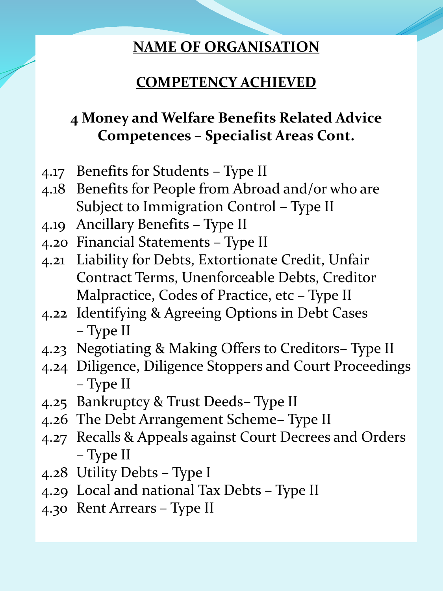#### **NAME OF ORGANISATION**

### **COMPETENCY ACHIEVED**

# **4 Money and Welfare Benefits Related Advice Competences – Specialist Areas Cont.**

- 4.17 Benefits for Students Type II
- 4.18 Benefits for People from Abroad and/or who are Subject to Immigration Control – Type II
- 4.19 Ancillary Benefits Type II
- 4.20 Financial Statements Type II
- 4.21 Liability for Debts, Extortionate Credit, Unfair Contract Terms, Unenforceable Debts, Creditor Malpractice, Codes of Practice, etc – Type II
- 4.22 Identifying & Agreeing Options in Debt Cases – Type II
- 4.23 Negotiating & Making Offers to Creditors– Type II
- 4.24 Diligence, Diligence Stoppers and Court Proceedings – Type II
- 4.25 Bankruptcy & Trust Deeds– Type II
- 4.26 The Debt Arrangement Scheme– Type II
- 4.27 Recalls & Appeals against Court Decrees and Orders – Type II
- 4.28 Utility Debts Type I
- 4.29 Local and national Tax Debts Type II
- 4.30 Rent Arrears Type II